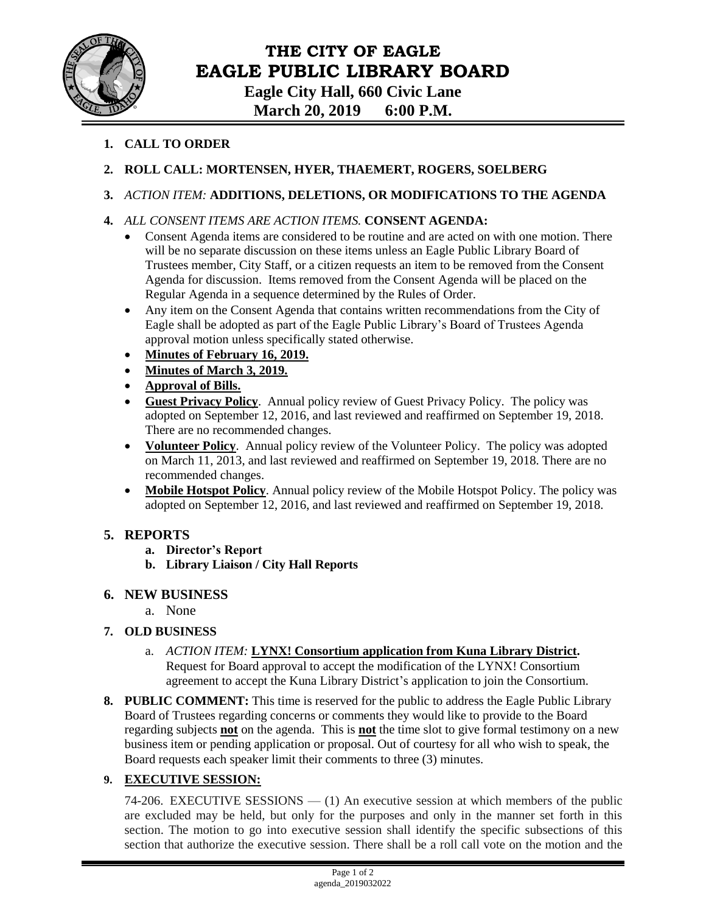

# **THE CITY OF EAGLE EAGLE PUBLIC LIBRARY BOARD**

**Eagle City Hall, 660 Civic Lane March 20, 2019 6:00 P.M.**

- **1. CALL TO ORDER**
- **2. ROLL CALL: MORTENSEN, HYER, THAEMERT, ROGERS, SOELBERG**

#### **3.** *ACTION ITEM:* **ADDITIONS, DELETIONS, OR MODIFICATIONS TO THE AGENDA**

- **4.** *ALL CONSENT ITEMS ARE ACTION ITEMS.* **CONSENT AGENDA:**
	- Consent Agenda items are considered to be routine and are acted on with one motion. There will be no separate discussion on these items unless an Eagle Public Library Board of Trustees member, City Staff, or a citizen requests an item to be removed from the Consent Agenda for discussion. Items removed from the Consent Agenda will be placed on the Regular Agenda in a sequence determined by the Rules of Order.
	- Any item on the Consent Agenda that contains written recommendations from the City of Eagle shall be adopted as part of the Eagle Public Library's Board of Trustees Agenda approval motion unless specifically stated otherwise.
	- **Minutes of February 16, 2019.**
	- **Minutes of March 3, 2019.**
	- **Approval of Bills.**
	- **Guest Privacy Policy**. Annual policy review of Guest Privacy Policy. The policy was adopted on September 12, 2016, and last reviewed and reaffirmed on September 19, 2018. There are no recommended changes.
	- **Volunteer Policy**. Annual policy review of the Volunteer Policy. The policy was adopted on March 11, 2013, and last reviewed and reaffirmed on September 19, 2018. There are no recommended changes.
	- **Mobile Hotspot Policy**. Annual policy review of the Mobile Hotspot Policy. The policy was adopted on September 12, 2016, and last reviewed and reaffirmed on September 19, 2018.

## **5. REPORTS**

- **a. Director's Report**
- **b. Library Liaison / City Hall Reports**

## **6. NEW BUSINESS**

a. None

## **7. OLD BUSINESS**

- a. *ACTION ITEM:* **LYNX! Consortium application from Kuna Library District.**  Request for Board approval to accept the modification of the LYNX! Consortium agreement to accept the Kuna Library District's application to join the Consortium.
- **8. PUBLIC COMMENT:** This time is reserved for the public to address the Eagle Public Library Board of Trustees regarding concerns or comments they would like to provide to the Board regarding subjects **not** on the agenda. This is **not** the time slot to give formal testimony on a new business item or pending application or proposal. Out of courtesy for all who wish to speak, the Board requests each speaker limit their comments to three (3) minutes.

## **9. EXECUTIVE SESSION:**

74-206. EXECUTIVE SESSIONS — (1) An executive session at which members of the public are excluded may be held, but only for the purposes and only in the manner set forth in this section. The motion to go into executive session shall identify the specific subsections of this section that authorize the executive session. There shall be a roll call vote on the motion and the